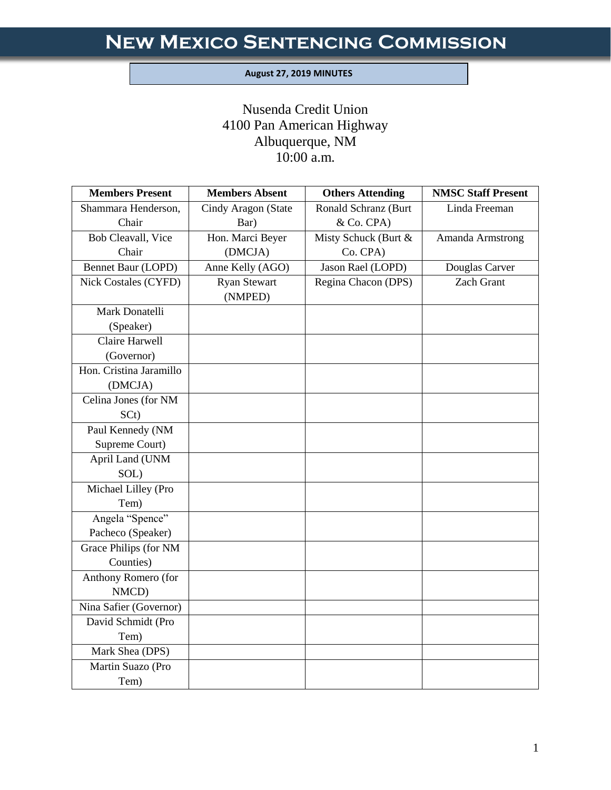#### **August 27, 2019 MINUTES**

I

# Nusenda Credit Union 4100 Pan American Highway Albuquerque, NM 10:00 a.m.

| <b>Members Present</b>      | <b>Members Absent</b>          | <b>Others Attending</b> | <b>NMSC Staff Present</b> |
|-----------------------------|--------------------------------|-------------------------|---------------------------|
| Shammara Henderson,         | Cindy Aragon (State            | Ronald Schranz (Burt    | Linda Freeman             |
| Chair                       | Bar)                           | & Co. CPA)              |                           |
| <b>Bob Cleavall</b> , Vice  | Hon. Marci Beyer               | Misty Schuck (Burt &    | Amanda Armstrong          |
| Chair                       | (DMCJA)                        | Co. CPA)                |                           |
| Bennet Baur (LOPD)          | Anne Kelly (AGO)               | Jason Rael (LOPD)       | Douglas Carver            |
| <b>Nick Costales (CYFD)</b> | <b>Ryan Stewart</b><br>(NMPED) | Regina Chacon (DPS)     | <b>Zach Grant</b>         |
| Mark Donatelli              |                                |                         |                           |
| (Speaker)                   |                                |                         |                           |
| Claire Harwell              |                                |                         |                           |
| (Governor)                  |                                |                         |                           |
| Hon. Cristina Jaramillo     |                                |                         |                           |
| (DMCJA)                     |                                |                         |                           |
| Celina Jones (for NM        |                                |                         |                           |
| SC <sub>t</sub> )           |                                |                         |                           |
| Paul Kennedy (NM            |                                |                         |                           |
| Supreme Court)              |                                |                         |                           |
| April Land (UNM             |                                |                         |                           |
| SOL)                        |                                |                         |                           |
| Michael Lilley (Pro         |                                |                         |                           |
| Tem)                        |                                |                         |                           |
| Angela "Spence"             |                                |                         |                           |
| Pacheco (Speaker)           |                                |                         |                           |
| Grace Philips (for NM       |                                |                         |                           |
| Counties)                   |                                |                         |                           |
| Anthony Romero (for         |                                |                         |                           |
| NMCD)                       |                                |                         |                           |
| Nina Safier (Governor)      |                                |                         |                           |
| David Schmidt (Pro          |                                |                         |                           |
| Tem)                        |                                |                         |                           |
| Mark Shea (DPS)             |                                |                         |                           |
| Martin Suazo (Pro           |                                |                         |                           |
| Tem)                        |                                |                         |                           |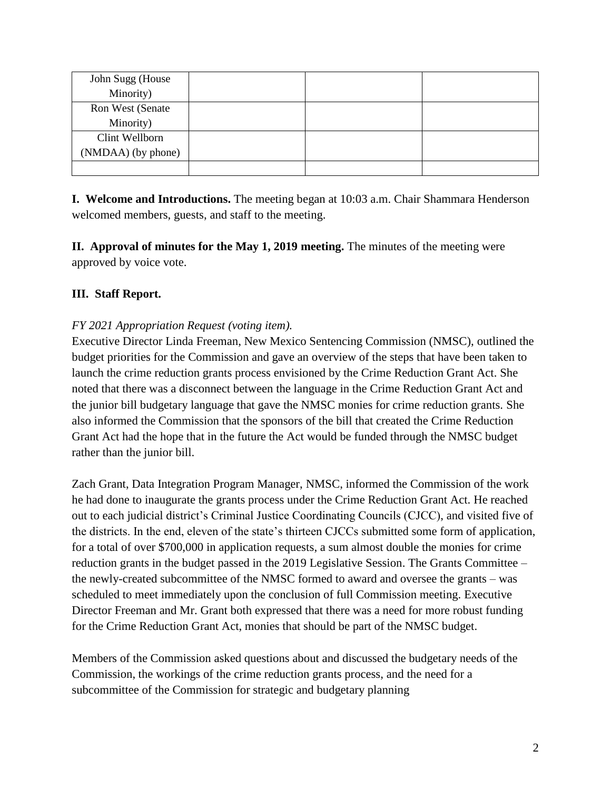| John Sugg (House   |  |  |
|--------------------|--|--|
| Minority)          |  |  |
| Ron West (Senate   |  |  |
| Minority)          |  |  |
| Clint Wellborn     |  |  |
| (NMDAA) (by phone) |  |  |
|                    |  |  |

**I. Welcome and Introductions.** The meeting began at 10:03 a.m. Chair Shammara Henderson welcomed members, guests, and staff to the meeting.

**II. Approval of minutes for the May 1, 2019 meeting.** The minutes of the meeting were approved by voice vote.

# **III. Staff Report.**

# *FY 2021 Appropriation Request (voting item).*

Executive Director Linda Freeman, New Mexico Sentencing Commission (NMSC), outlined the budget priorities for the Commission and gave an overview of the steps that have been taken to launch the crime reduction grants process envisioned by the Crime Reduction Grant Act. She noted that there was a disconnect between the language in the Crime Reduction Grant Act and the junior bill budgetary language that gave the NMSC monies for crime reduction grants. She also informed the Commission that the sponsors of the bill that created the Crime Reduction Grant Act had the hope that in the future the Act would be funded through the NMSC budget rather than the junior bill.

Zach Grant, Data Integration Program Manager, NMSC, informed the Commission of the work he had done to inaugurate the grants process under the Crime Reduction Grant Act. He reached out to each judicial district's Criminal Justice Coordinating Councils (CJCC), and visited five of the districts. In the end, eleven of the state's thirteen CJCCs submitted some form of application, for a total of over \$700,000 in application requests, a sum almost double the monies for crime reduction grants in the budget passed in the 2019 Legislative Session. The Grants Committee – the newly-created subcommittee of the NMSC formed to award and oversee the grants – was scheduled to meet immediately upon the conclusion of full Commission meeting. Executive Director Freeman and Mr. Grant both expressed that there was a need for more robust funding for the Crime Reduction Grant Act, monies that should be part of the NMSC budget.

Members of the Commission asked questions about and discussed the budgetary needs of the Commission, the workings of the crime reduction grants process, and the need for a subcommittee of the Commission for strategic and budgetary planning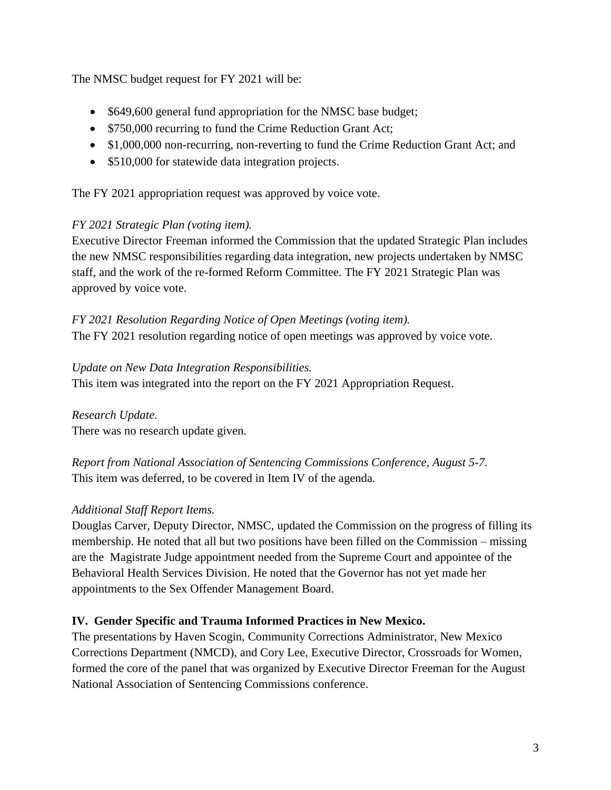The NMSC budget request for FY 2021 will be:

- \$649,600 general fund appropriation for the NMSC base budget;
- \$750,000 recurring to fund the Crime Reduction Grant Act;
- \$1,000,000 non-recurring, non-reverting to fund the Crime Reduction Grant Act; and
- \$510,000 for statewide data integration projects.

The FY 2021 appropriation request was approved by voice vote.

# *FY 2021 Strategic Plan (voting item).*

Executive Director Freeman informed the Commission that the updated Strategic Plan includes the new NMSC responsibilities regarding data integration, new projects undertaken by NMSC staff, and the work of the re-formed Reform Committee. The FY 2021 Strategic Plan was approved by voice vote.

#### *FY 2021 Resolution Regarding Notice of Open Meetings (voting item).* The FY 2021 resolution regarding notice of open meetings was approved by voice vote.

### *Update on New Data Integration Responsibilities.*

This item was integrated into the report on the FY 2021 Appropriation Request.

*Research Update.* There was no research update given.

*Report from National Association of Sentencing Commissions Conference, August 5-7.* This item was deferred, to be covered in Item IV of the agenda.

# *Additional Staff Report Items.*

Douglas Carver, Deputy Director, NMSC, updated the Commission on the progress of filling its membership. He noted that all but two positions have been filled on the Commission – missing are the Magistrate Judge appointment needed from the Supreme Court and appointee of the Behavioral Health Services Division. He noted that the Governor has not yet made her appointments to the Sex Offender Management Board.

# **IV. Gender Specific and Trauma Informed Practices in New Mexico.**

The presentations by Haven Scogin, Community Corrections Administrator, New Mexico Corrections Department (NMCD), and Cory Lee, Executive Director, Crossroads for Women, formed the core of the panel that was organized by Executive Director Freeman for the August National Association of Sentencing Commissions conference.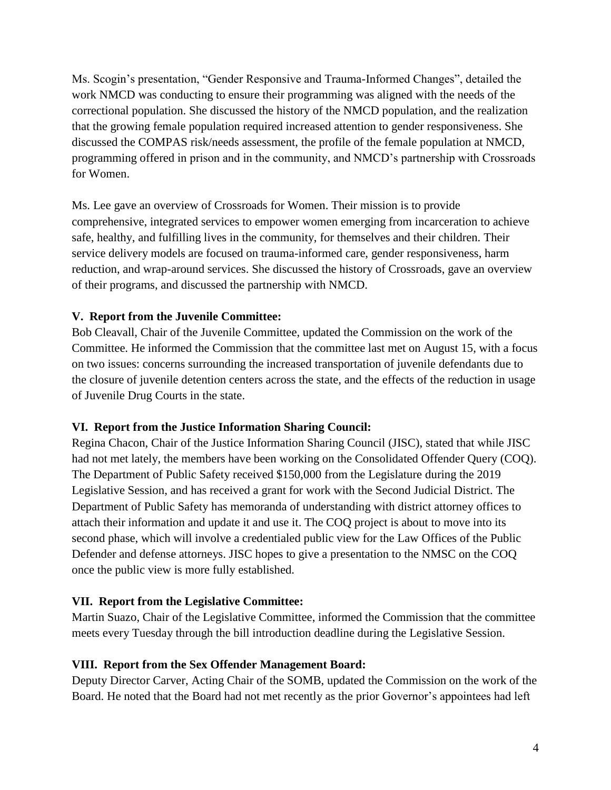Ms. Scogin's presentation, "Gender Responsive and Trauma-Informed Changes", detailed the work NMCD was conducting to ensure their programming was aligned with the needs of the correctional population. She discussed the history of the NMCD population, and the realization that the growing female population required increased attention to gender responsiveness. She discussed the COMPAS risk/needs assessment, the profile of the female population at NMCD, programming offered in prison and in the community, and NMCD's partnership with Crossroads for Women.

Ms. Lee gave an overview of Crossroads for Women. Their mission is to provide comprehensive, integrated services to empower women emerging from incarceration to achieve safe, healthy, and fulfilling lives in the community, for themselves and their children. Their service delivery models are focused on trauma-informed care, gender responsiveness, harm reduction, and wrap-around services. She discussed the history of Crossroads, gave an overview of their programs, and discussed the partnership with NMCD.

#### **V. Report from the Juvenile Committee:**

Bob Cleavall, Chair of the Juvenile Committee, updated the Commission on the work of the Committee. He informed the Commission that the committee last met on August 15, with a focus on two issues: concerns surrounding the increased transportation of juvenile defendants due to the closure of juvenile detention centers across the state, and the effects of the reduction in usage of Juvenile Drug Courts in the state.

#### **VI. Report from the Justice Information Sharing Council:**

Regina Chacon, Chair of the Justice Information Sharing Council (JISC), stated that while JISC had not met lately, the members have been working on the Consolidated Offender Query (COQ). The Department of Public Safety received \$150,000 from the Legislature during the 2019 Legislative Session, and has received a grant for work with the Second Judicial District. The Department of Public Safety has memoranda of understanding with district attorney offices to attach their information and update it and use it. The COQ project is about to move into its second phase, which will involve a credentialed public view for the Law Offices of the Public Defender and defense attorneys. JISC hopes to give a presentation to the NMSC on the COQ once the public view is more fully established.

# **VII. Report from the Legislative Committee:**

Martin Suazo, Chair of the Legislative Committee, informed the Commission that the committee meets every Tuesday through the bill introduction deadline during the Legislative Session.

#### **VIII. Report from the Sex Offender Management Board:**

Deputy Director Carver, Acting Chair of the SOMB, updated the Commission on the work of the Board. He noted that the Board had not met recently as the prior Governor's appointees had left